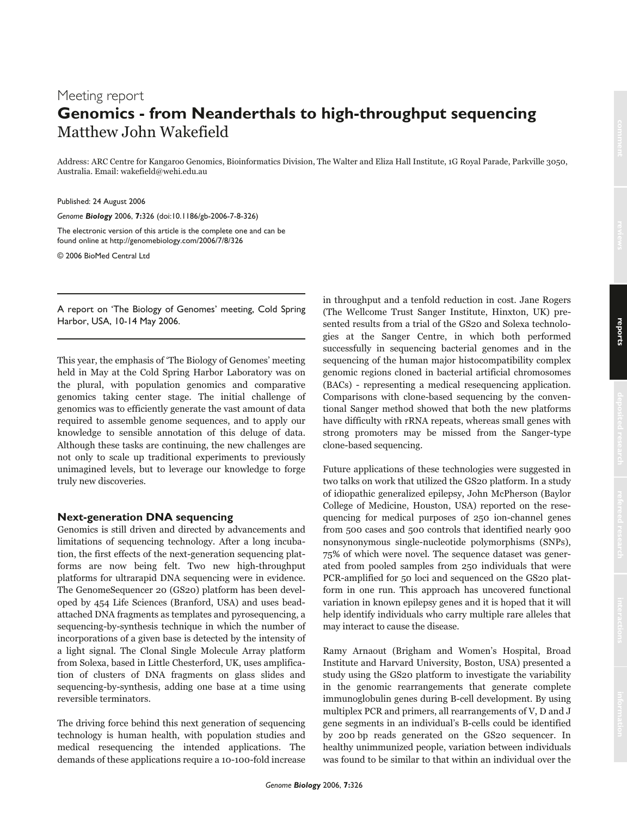# Meeting report **Genomics - from Neanderthals to high-throughput sequencing** Matthew John Wakefield

Address: ARC Centre for Kangaroo Genomics, Bioinformatics Division, The Walter and Eliza Hall Institute, 1G Royal Parade, Parkville 3050, Australia. Email: wakefield@wehi.edu.au

Published: 24 August 2006

*Genome Biology* 2006, **7:**326 (doi:10.1186/gb-2006-7-8-326)

The electronic version of this article is the complete one and can be found online at http://genomebiology.com/2006/7/8/326

© 2006 BioMed Central Ltd

A report on 'The Biology of Genomes' meeting, Cold Spring Harbor, USA, 10-14 May 2006.

This year, the emphasis of 'The Biology of Genomes' meeting held in May at the Cold Spring Harbor Laboratory was on the plural, with population genomics and comparative genomics taking center stage. The initial challenge of genomics was to efficiently generate the vast amount of data required to assemble genome sequences, and to apply our knowledge to sensible annotation of this deluge of data. Although these tasks are continuing, the new challenges are not only to scale up traditional experiments to previously unimagined levels, but to leverage our knowledge to forge truly new discoveries.

## **Next-generation DNA sequencing**

Genomics is still driven and directed by advancements and limitations of sequencing technology. After a long incubation, the first effects of the next-generation sequencing platforms are now being felt. Two new high-throughput platforms for ultrarapid DNA sequencing were in evidence. The GenomeSequencer 20 (GS20) platform has been developed by 454 Life Sciences (Branford, USA) and uses beadattached DNA fragments as templates and pyrosequencing, a sequencing-by-synthesis technique in which the number of incorporations of a given base is detected by the intensity of a light signal. The Clonal Single Molecule Array platform from Solexa, based in Little Chesterford, UK, uses amplification of clusters of DNA fragments on glass slides and sequencing-by-synthesis, adding one base at a time using reversible terminators.

The driving force behind this next generation of sequencing technology is human health, with population studies and medical resequencing the intended applications. The demands of these applications require a 10-100-fold increase in throughput and a tenfold reduction in cost. Jane Rogers (The Wellcome Trust Sanger Institute, Hinxton, UK) presented results from a trial of the GS20 and Solexa technologies at the Sanger Centre, in which both performed successfully in sequencing bacterial genomes and in the sequencing of the human major histocompatibility complex genomic regions cloned in bacterial artificial chromosomes (BACs) - representing a medical resequencing application. Comparisons with clone-based sequencing by the conventional Sanger method showed that both the new platforms have difficulty with rRNA repeats, whereas small genes with strong promoters may be missed from the Sanger-type clone-based sequencing.

Future applications of these technologies were suggested in two talks on work that utilized the GS20 platform. In a study of idiopathic generalized epilepsy, John McPherson (Baylor College of Medicine, Houston, USA) reported on the resequencing for medical purposes of 250 ion-channel genes from 500 cases and 500 controls that identified nearly 900 nonsynonymous single-nucleotide polymorphisms (SNPs), 75% of which were novel. The sequence dataset was generated from pooled samples from 250 individuals that were PCR-amplified for 50 loci and sequenced on the GS20 platform in one run. This approach has uncovered functional variation in known epilepsy genes and it is hoped that it will help identify individuals who carry multiple rare alleles that may interact to cause the disease.

Ramy Arnaout (Brigham and Women's Hospital, Broad Institute and Harvard University, Boston, USA) presented a study using the GS20 platform to investigate the variability in the genomic rearrangements that generate complete immunoglobulin genes during B-cell development. By using multiplex PCR and primers, all rearrangements of V, D and J gene segments in an individual's B-cells could be identified by 200 bp reads generated on the GS20 sequencer. In healthy unimmunized people, variation between individuals was found to be similar to that within an individual over the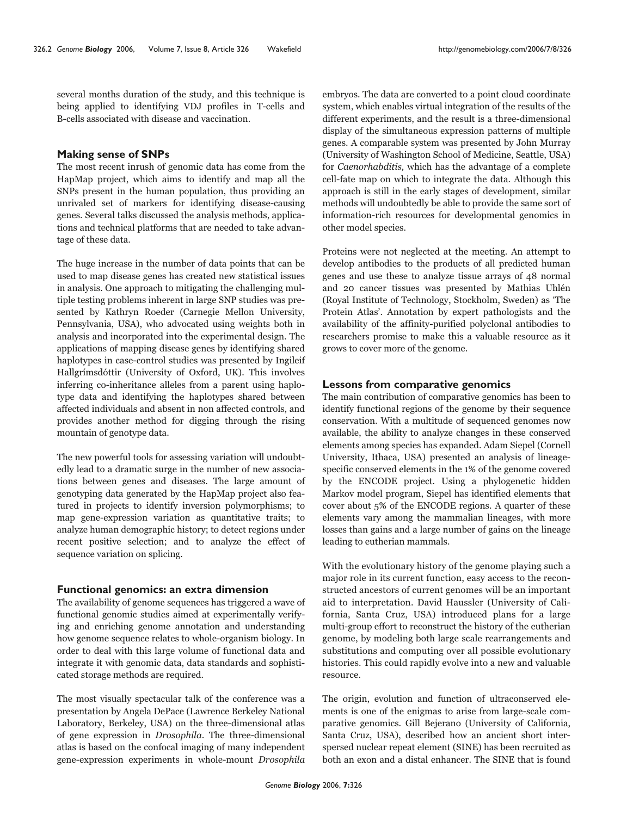several months duration of the study, and this technique is being applied to identifying VDJ profiles in T-cells and B-cells associated with disease and vaccination.

## **Making sense of SNPs**

The most recent inrush of genomic data has come from the HapMap project, which aims to identify and map all the SNPs present in the human population, thus providing an unrivaled set of markers for identifying disease-causing genes. Several talks discussed the analysis methods, applications and technical platforms that are needed to take advantage of these data.

The huge increase in the number of data points that can be used to map disease genes has created new statistical issues in analysis. One approach to mitigating the challenging multiple testing problems inherent in large SNP studies was presented by Kathryn Roeder (Carnegie Mellon University, Pennsylvania, USA), who advocated using weights both in analysis and incorporated into the experimental design. The applications of mapping disease genes by identifying shared haplotypes in case-control studies was presented by Ingileif Hallgrímsdóttir (University of Oxford, UK). This involves inferring co-inheritance alleles from a parent using haplotype data and identifying the haplotypes shared between affected individuals and absent in non affected controls, and provides another method for digging through the rising mountain of genotype data.

The new powerful tools for assessing variation will undoubtedly lead to a dramatic surge in the number of new associations between genes and diseases. The large amount of genotyping data generated by the HapMap project also featured in projects to identify inversion polymorphisms; to map gene-expression variation as quantitative traits; to analyze human demographic history; to detect regions under recent positive selection; and to analyze the effect of sequence variation on splicing.

## **Functional genomics: an extra dimension**

The availability of genome sequences has triggered a wave of functional genomic studies aimed at experimentally verifying and enriching genome annotation and understanding how genome sequence relates to whole-organism biology. In order to deal with this large volume of functional data and integrate it with genomic data, data standards and sophisticated storage methods are required.

The most visually spectacular talk of the conference was a presentation by Angela DePace (Lawrence Berkeley National Laboratory, Berkeley, USA) on the three-dimensional atlas of gene expression in Drosophila. The three-dimensional atlas is based on the confocal imaging of many independent gene-expression experiments in whole-mount Drosophila

embryos. The data are converted to a point cloud coordinate system, which enables virtual integration of the results of the different experiments, and the result is a three-dimensional display of the simultaneous expression patterns of multiple genes. A comparable system was presented by John Murray (University of Washington School of Medicine, Seattle, USA) for Caenorhabditis, which has the advantage of a complete cell-fate map on which to integrate the data. Although this approach is still in the early stages of development, similar methods will undoubtedly be able to provide the same sort of information-rich resources for developmental genomics in other model species.

Proteins were not neglected at the meeting. An attempt to develop antibodies to the products of all predicted human genes and use these to analyze tissue arrays of 48 normal and 20 cancer tissues was presented by Mathias Uhlén (Royal Institute of Technology, Stockholm, Sweden) as 'The Protein Atlas'. Annotation by expert pathologists and the availability of the affinity-purified polyclonal antibodies to researchers promise to make this a valuable resource as it grows to cover more of the genome.

#### **Lessons from comparative genomics**

The main contribution of comparative genomics has been to identify functional regions of the genome by their sequence conservation. With a multitude of sequenced genomes now available, the ability to analyze changes in these conserved elements among species has expanded. Adam Siepel (Cornell University, Ithaca, USA) presented an analysis of lineagespecific conserved elements in the 1% of the genome covered by the ENCODE project. Using a phylogenetic hidden Markov model program, Siepel has identified elements that cover about 5% of the ENCODE regions. A quarter of these elements vary among the mammalian lineages, with more losses than gains and a large number of gains on the lineage leading to eutherian mammals.

With the evolutionary history of the genome playing such a major role in its current function, easy access to the reconstructed ancestors of current genomes will be an important aid to interpretation. David Haussler (University of California, Santa Cruz, USA) introduced plans for a large multi-group effort to reconstruct the history of the eutherian genome, by modeling both large scale rearrangements and substitutions and computing over all possible evolutionary histories. This could rapidly evolve into a new and valuable resource.

The origin, evolution and function of ultraconserved elements is one of the enigmas to arise from large-scale comparative genomics. Gill Bejerano (University of California, Santa Cruz, USA), described how an ancient short interspersed nuclear repeat element (SINE) has been recruited as both an exon and a distal enhancer. The SINE that is found